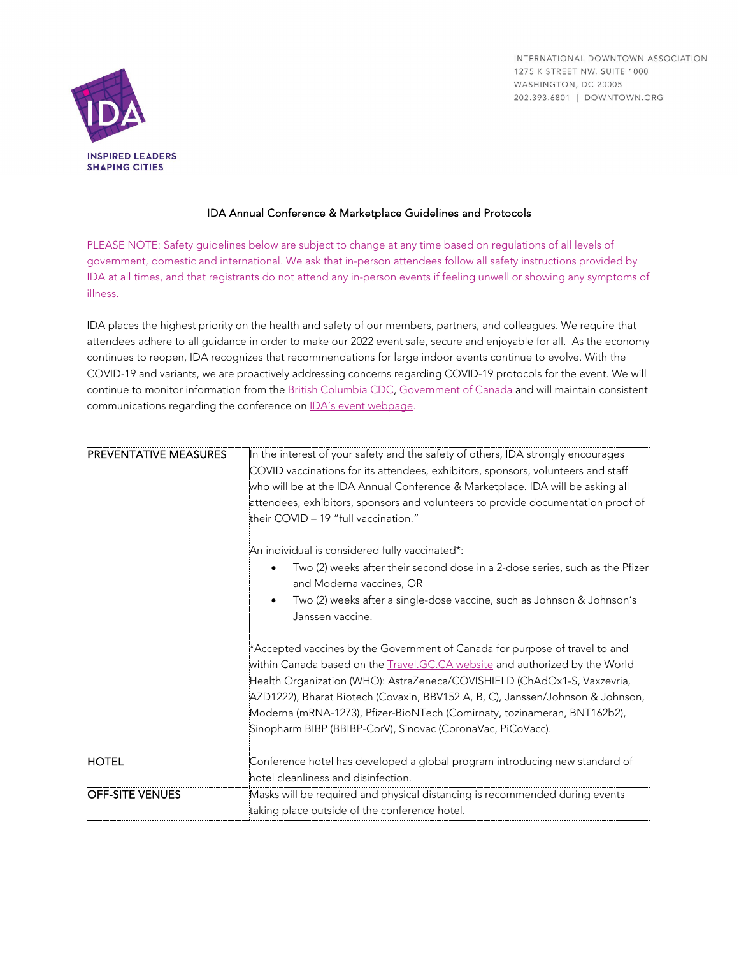INTERNATIONAL DOWNTOWN ASSOCIATION 1275 K STREET NW, SUITE 1000 WASHINGTON, DC 20005 202.393.6801 | DOWNTOWN.ORG



## IDA Annual Conference & Marketplace Guidelines and Protocols

PLEASE NOTE: Safety guidelines below are subject to change at any time based on regulations of all levels of government, domestic and international. We ask that in-person attendees follow all safety instructions provided by IDA at all times, and that registrants do not attend any in-person events if feeling unwell or showing any symptoms of illness.

IDA places the highest priority on the health and safety of our members, partners, and colleagues. We require that attendees adhere to all guidance in order to make our 2022 event safe, secure and enjoyable for all. As the economy continues to reopen, IDA recognizes that recommendations for large indoor events continue to evolve. With the COVID-19 and variants, we are proactively addressing concerns regarding COVID-19 protocols for the event. We will continue to monitor information from th[e British Columbia CDC,](http://www.bccdc.ca/) [Government of Canada](https://www2.gov.bc.ca/gov/content/home) and will maintain consistent communications regarding the conference o[n IDA's event](https://downtown.org/event/2022-annual-conference/) webpage.

| <b>PREVENTATIVE MEASURES</b> | In the interest of your safety and the safety of others, IDA strongly encourages<br>COVID vaccinations for its attendees, exhibitors, sponsors, volunteers and staff<br>who will be at the IDA Annual Conference & Marketplace. IDA will be asking all<br>attendees, exhibitors, sponsors and volunteers to provide documentation proof of<br>their COVID - 19 "full vaccination."                                                                                 |
|------------------------------|--------------------------------------------------------------------------------------------------------------------------------------------------------------------------------------------------------------------------------------------------------------------------------------------------------------------------------------------------------------------------------------------------------------------------------------------------------------------|
|                              | An individual is considered fully vaccinated*:<br>Two (2) weeks after their second dose in a 2-dose series, such as the Pfizer<br>and Moderna vaccines, OR<br>Two (2) weeks after a single-dose vaccine, such as Johnson & Johnson's<br>Janssen vaccine.                                                                                                                                                                                                           |
|                              | Accepted vaccines by the Government of Canada for purpose of travel to and<br>within Canada based on the Travel.GC.CA website and authorized by the World<br>Health Organization (WHO): AstraZeneca/COVISHIELD (ChAdOx1-S, Vaxzevria,<br>AZD1222), Bharat Biotech (Covaxin, BBV152 A, B, C), Janssen/Johnson & Johnson,<br>Moderna (mRNA-1273), Pfizer-BioNTech (Comirnaty, tozinameran, BNT162b2),<br>Sinopharm BIBP (BBIBP-CorV), Sinovac (CoronaVac, PiCoVacc). |
| <b>HOTEL</b>                 | Conference hotel has developed a global program introducing new standard of<br>hotel cleanliness and disinfection.                                                                                                                                                                                                                                                                                                                                                 |
| <b>OFF-SITE VENUES</b>       | Masks will be required and physical distancing is recommended during events<br>taking place outside of the conference hotel.                                                                                                                                                                                                                                                                                                                                       |